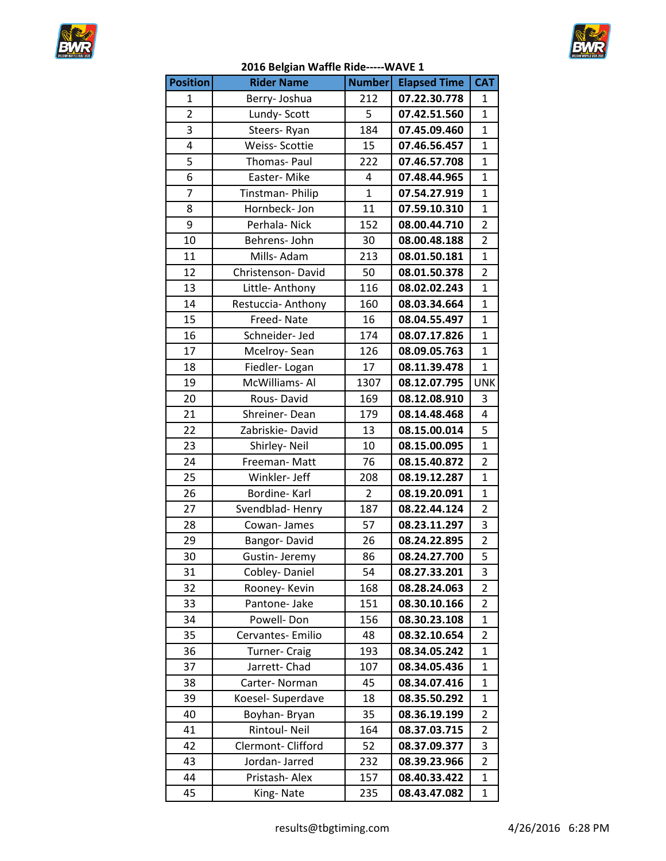



|  | 2016 Belgian Waffle Ride----- WAVE 1 |  |
|--|--------------------------------------|--|
|  |                                      |  |

|                 | ייסיי                |                |                     |                         |
|-----------------|----------------------|----------------|---------------------|-------------------------|
| <b>Position</b> | <b>Rider Name</b>    | <b>Number</b>  | <b>Elapsed Time</b> | <b>CAT</b>              |
| $\mathbf 1$     | Berry-Joshua         | 212            | 07.22.30.778        | 1                       |
| $\overline{2}$  | Lundy- Scott         | 5              | 07.42.51.560        | $\overline{1}$          |
| $\overline{3}$  | Steers-Ryan          | 184            | 07.45.09.460        | $\overline{1}$          |
| 4               | Weiss-Scottie        | 15             | 07.46.56.457        | $\overline{1}$          |
| 5               | Thomas- Paul         | 222            | 07.46.57.708        | $\mathbf{1}$            |
| 6               | Easter-Mike          | 4              | 07.48.44.965        | $\overline{1}$          |
| $\overline{7}$  | Tinstman-Philip      | $\overline{1}$ | 07.54.27.919        | $\overline{1}$          |
| 8               | Hornbeck-Jon         | 11             | 07.59.10.310        | $\overline{1}$          |
| 9               | Perhala-Nick         | 152            | 08.00.44.710        | $\overline{2}$          |
| 10              | Behrens-John         | 30             | 08.00.48.188        | $\overline{2}$          |
| 11              | Mills-Adam           | 213            | 08.01.50.181        | $\overline{1}$          |
| 12              | Christenson-David    | 50             | 08.01.50.378        | $\overline{2}$          |
| 13              | Little- Anthony      | 116            | 08.02.02.243        | $\overline{1}$          |
| 14              | Restuccia-Anthony    | 160            | 08.03.34.664        | $\overline{1}$          |
| 15              | Freed-Nate           | 16             | 08.04.55.497        | $\overline{1}$          |
| 16              | Schneider- Jed       | 174            | 08.07.17.826        | $\overline{1}$          |
| 17              | Mcelroy-Sean         | 126            | 08.09.05.763        | $\overline{1}$          |
| 18              | Fiedler-Logan        | 17             | 08.11.39.478        | $\mathbf{1}$            |
| 19              | McWilliams-Al        | 1307           | 08.12.07.795        | <b>UNK</b>              |
| 20              | Rous-David           | 169            | 08.12.08.910        | 3                       |
| 21              | Shreiner-Dean        | 179            | 08.14.48.468        | $\overline{4}$          |
| 22              | Zabriskie-David      | 13             | 08.15.00.014        | $\overline{\mathbf{5}}$ |
| 23              | Shirley- Neil        | 10             | 08.15.00.095        | $\overline{1}$          |
| 24              | Freeman-Matt         | 76             | 08.15.40.872        | $\overline{2}$          |
| 25              | Winkler- Jeff        | 208            | 08.19.12.287        | $\overline{1}$          |
| 26              | Bordine-Karl         | $\overline{2}$ | 08.19.20.091        | $\overline{1}$          |
| 27              | Svendblad-Henry      | 187            | 08.22.44.124        | $\overline{2}$          |
| 28              | Cowan-James          | 57             | 08.23.11.297        | 3                       |
| 29              | Bangor-David         | 26             | 08.24.22.895        | $\overline{2}$          |
| 30              | Gustin-Jeremy        | 86             | 08.24.27.700        | 5                       |
| 31              | Cobley-Daniel        | 54             | 08.27.33.201        | 3                       |
| 32              | Rooney- Kevin        |                | 08.28.24.063        | 2                       |
| 33              | Pantone- Jake        | 168<br>151     | 08.30.10.166        | 2                       |
|                 |                      |                | 08.30.23.108        |                         |
| 34              | Powell-Don           | 156            |                     | 1                       |
| 35              | Cervantes- Emilio    | 48             | 08.32.10.654        | $\overline{2}$          |
| 36              | <b>Turner- Craig</b> | 193            | 08.34.05.242        | $\mathbf 1$             |
| 37              | Jarrett-Chad         | 107            | 08.34.05.436        | 1                       |
| 38              | Carter-Norman        | 45             | 08.34.07.416        | $\mathbf 1$             |
| 39              | Koesel- Superdave    | 18             | 08.35.50.292        | 1                       |
| 40              | Boyhan-Bryan         | 35             | 08.36.19.199        | $\overline{2}$          |
| 41              | Rintoul- Neil        | 164            | 08.37.03.715        | $\overline{2}$          |
| 42              | Clermont-Clifford    | 52             | 08.37.09.377        | 3                       |
| 43              | Jordan-Jarred        | 232            | 08.39.23.966        | $\overline{2}$          |
| 44              | Pristash-Alex        | 157            | 08.40.33.422        | $\mathbf 1$             |
| 45              | King-Nate            | 235            | 08.43.47.082        | 1                       |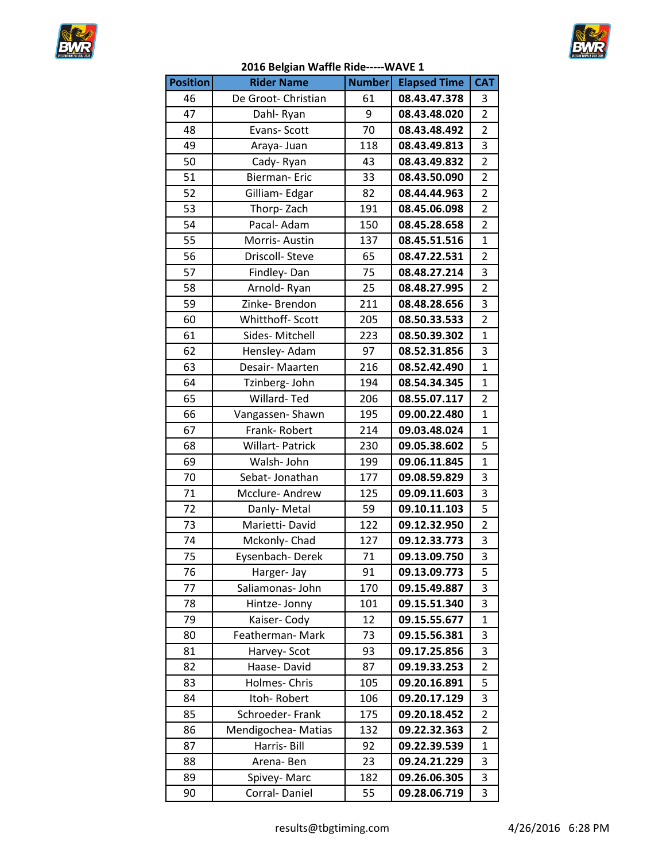



| <b>Position</b> | <b>Rider Name</b>   | <b>Number</b> | <b>Elapsed Time</b> | <b>CAT</b>     |
|-----------------|---------------------|---------------|---------------------|----------------|
| 46              | De Groot- Christian | 61            | 08.43.47.378        | 3              |
| 47              | Dahl-Ryan           | 9             | 08.43.48.020        | $\overline{2}$ |
| 48              | Evans-Scott         | 70            | 08.43.48.492        | $\overline{2}$ |
| 49              | Araya- Juan         | 118           | 08.43.49.813        | 3              |
| 50              | Cady-Ryan           | 43            | 08.43.49.832        | $\overline{2}$ |
| 51              | <b>Bierman-Eric</b> | 33            | 08.43.50.090        | $\overline{2}$ |
| 52              | Gilliam-Edgar       | 82            | 08.44.44.963        | $\overline{2}$ |
| 53              | Thorp-Zach          | 191           | 08.45.06.098        | $\overline{2}$ |
| 54              | Pacal- Adam         | 150           | 08.45.28.658        | $\overline{2}$ |
| 55              | Morris-Austin       | 137           | 08.45.51.516        | $\mathbf{1}$   |
| 56              | Driscoll-Steve      | 65            | 08.47.22.531        | $\overline{2}$ |
| 57              | Findley-Dan         | 75            | 08.48.27.214        | 3              |
| 58              | Arnold-Ryan         | 25            | 08.48.27.995        | $\overline{2}$ |
| 59              | Zinke-Brendon       | 211           | 08.48.28.656        | 3              |
| 60              | Whitthoff- Scott    | 205           | 08.50.33.533        | $\overline{2}$ |
| 61              | Sides-Mitchell      | 223           | 08.50.39.302        | $\mathbf{1}$   |
| 62              | Hensley- Adam       | 97            | 08.52.31.856        | 3              |
| 63              | Desair- Maarten     | 216           | 08.52.42.490        | $\mathbf{1}$   |
| 64              | Tzinberg- John      | 194           | 08.54.34.345        | $\mathbf{1}$   |
| 65              | Willard-Ted         | 206           | 08.55.07.117        | $\overline{2}$ |
| 66              | Vangassen-Shawn     | 195           | 09.00.22.480        | $\mathbf{1}$   |
| 67              | Frank-Robert        | 214           | 09.03.48.024        | $\mathbf{1}$   |
| 68              | Willart-Patrick     | 230           | 09.05.38.602        | 5              |
| 69              | Walsh-John          | 199           | 09.06.11.845        | $\mathbf{1}$   |
| 70              | Sebat-Jonathan      | 177           | 09.08.59.829        | 3              |
| 71              | Mcclure-Andrew      | 125           | 09.09.11.603        | 3              |
| 72              | Danly-Metal         | 59            | 09.10.11.103        | 5              |
| 73              | Marietti-David      | 122           | 09.12.32.950        | $\overline{2}$ |
| 74              | Mckonly-Chad        | 127           | 09.12.33.773        | 3              |
| 75              | Eysenbach-Derek     | 71            | 09.13.09.750        | $\overline{3}$ |
| 76              | Harger- Jay         | 91            | 09.13.09.773        | 5              |
| 77              | Saliamonas- John    | 170           | 09.15.49.887        | 3              |
| 78              | Hintze- Jonny       | 101           | 09.15.51.340        | 3              |
| 79              | Kaiser-Cody         | 12            | 09.15.55.677        | $\mathbf{1}$   |
| 80              | Featherman-Mark     | 73            | 09.15.56.381        | 3              |
| 81              | Harvey- Scot        | 93            | 09.17.25.856        | 3              |
| 82              | Haase-David         | 87            | 09.19.33.253        | 2              |
| 83              | Holmes- Chris       | 105           | 09.20.16.891        | 5              |
| 84              | Itoh-Robert         | 106           | 09.20.17.129        | 3              |
| 85              | Schroeder-Frank     | 175           | 09.20.18.452        | 2              |
| 86              | Mendigochea-Matias  | 132           | 09.22.32.363        | 2              |
| 87              | Harris- Bill        | 92            | 09.22.39.539        | 1              |
| 88              | Arena-Ben           | 23            | 09.24.21.229        | 3              |
| 89              | Spivey-Marc         | 182           | 09.26.06.305        | 3              |
| 90              | Corral-Daniel       | 55            | 09.28.06.719        | 3              |

## **2016 Belgian Waffle Ride-----WAVE 1**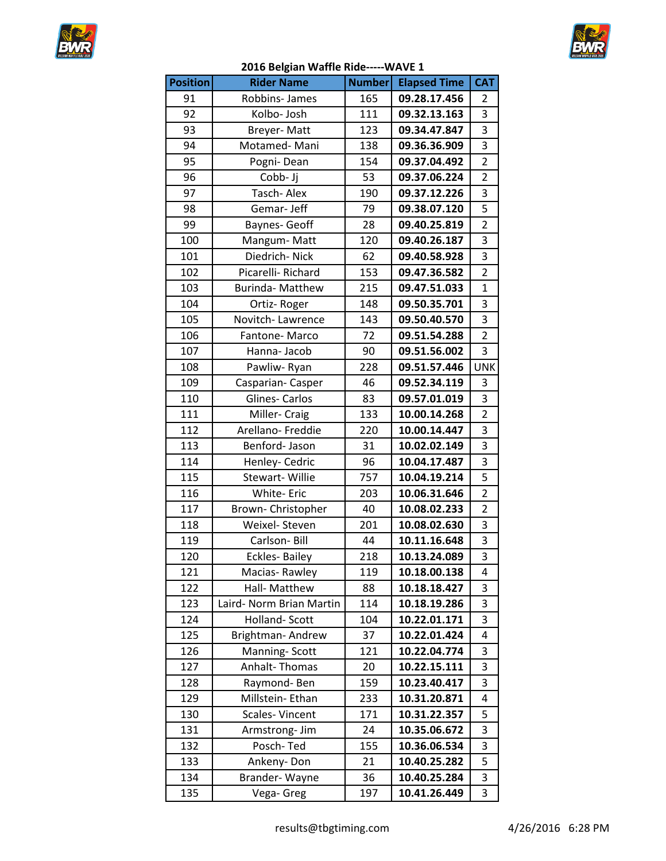



|  | 2016 Belgian Waffle Ride----- WAVE 1 |
|--|--------------------------------------|
|--|--------------------------------------|

|                 | בטבט טכוגומוו מממווכ ולומכ-- |               |                     |                |
|-----------------|------------------------------|---------------|---------------------|----------------|
| <b>Position</b> | <b>Rider Name</b>            | <b>Number</b> | <b>Elapsed Time</b> | <b>CAT</b>     |
| 91              | Robbins-James                | 165           | 09.28.17.456        | $\overline{2}$ |
| 92              | Kolbo- Josh                  | 111           | 09.32.13.163        | 3              |
| 93              | Breyer-Matt                  | 123           | 09.34.47.847        | $\overline{3}$ |
| 94              | Motamed-Mani                 | 138           | 09.36.36.909        | $\overline{3}$ |
| 95              | Pogni-Dean                   | 154           | 09.37.04.492        | $\overline{2}$ |
| 96              | Cobb-Jj                      | 53            | 09.37.06.224        | $\overline{2}$ |
| 97              | Tasch-Alex                   | 190           | 09.37.12.226        | $\overline{3}$ |
| 98              | Gemar-Jeff                   | 79            | 09.38.07.120        | 5              |
| 99              | Baynes- Geoff                | 28            | 09.40.25.819        | $\overline{2}$ |
| 100             | Mangum-Matt                  | 120           | 09.40.26.187        | $\overline{3}$ |
| 101             | Diedrich-Nick                | 62            | 09.40.58.928        | $\overline{3}$ |
| 102             | Picarelli-Richard            | 153           | 09.47.36.582        | $\overline{2}$ |
| 103             | <b>Burinda- Matthew</b>      | 215           | 09.47.51.033        | $\mathbf{1}$   |
| 104             | Ortiz-Roger                  | 148           | 09.50.35.701        | 3              |
| 105             | Novitch-Lawrence             | 143           | 09.50.40.570        | $\overline{3}$ |
| 106             | Fantone-Marco                | 72            | 09.51.54.288        | $\overline{2}$ |
| 107             | Hanna-Jacob                  | 90            | 09.51.56.002        | 3              |
| 108             | Pawliw-Ryan                  | 228           | 09.51.57.446        | <b>UNK</b>     |
| 109             | Casparian-Casper             | 46            | 09.52.34.119        | 3              |
| 110             | <b>Glines-Carlos</b>         | 83            | 09.57.01.019        | $\overline{3}$ |
| 111             | Miller- Craig                | 133           | 10.00.14.268        | $\overline{2}$ |
| 112             | Arellano- Freddie            | 220           | 10.00.14.447        | $\overline{3}$ |
| 113             | Benford- Jason               | 31            | 10.02.02.149        | $\overline{3}$ |
| 114             | Henley- Cedric               | 96            | 10.04.17.487        | 3              |
| 115             | Stewart- Willie              | 757           | 10.04.19.214        | $\overline{5}$ |
| 116             | White- Eric                  | 203           | 10.06.31.646        | $\overline{2}$ |
| 117             | Brown- Christopher           | 40            | 10.08.02.233        | $\overline{2}$ |
| 118             | Weixel- Steven               | 201           | 10.08.02.630        | $\overline{3}$ |
| 119             | Carlson-Bill                 | 44            | 10.11.16.648        | $\overline{3}$ |
| 120             | Eckles-Bailey                | 218           | 10.13.24.089        | 3              |
| 121             | Macias-Rawley                | 119           | 10.18.00.138        | 4              |
| 122             | Hall- Matthew                | 88            | 10.18.18.427        | 3              |
| 123             | Laird- Norm Brian Martin     | 114           | 10.18.19.286        | 3              |
| 124             | Holland-Scott                | 104           | 10.22.01.171        | 3              |
| 125             | Brightman-Andrew             | 37            | 10.22.01.424        | 4              |
| 126             | Manning-Scott                | 121           | 10.22.04.774        | 3              |
| 127             | Anhalt-Thomas                | 20            | 10.22.15.111        | 3              |
| 128             | Raymond-Ben                  | 159           | 10.23.40.417        | 3              |
| 129             | Millstein- Ethan             | 233           | 10.31.20.871        | 4              |
| 130             | Scales-Vincent               | 171           | 10.31.22.357        | 5              |
| 131             | Armstrong- Jim               | 24            | 10.35.06.672        | 3              |
| 132             | Posch-Ted                    | 155           | 10.36.06.534        | 3              |
| 133             | Ankeny-Don                   | 21            | 10.40.25.282        | 5              |
| 134             | Brander-Wayne                | 36            | 10.40.25.284        | 3              |
| 135             | Vega- Greg                   | 197           | 10.41.26.449        | 3              |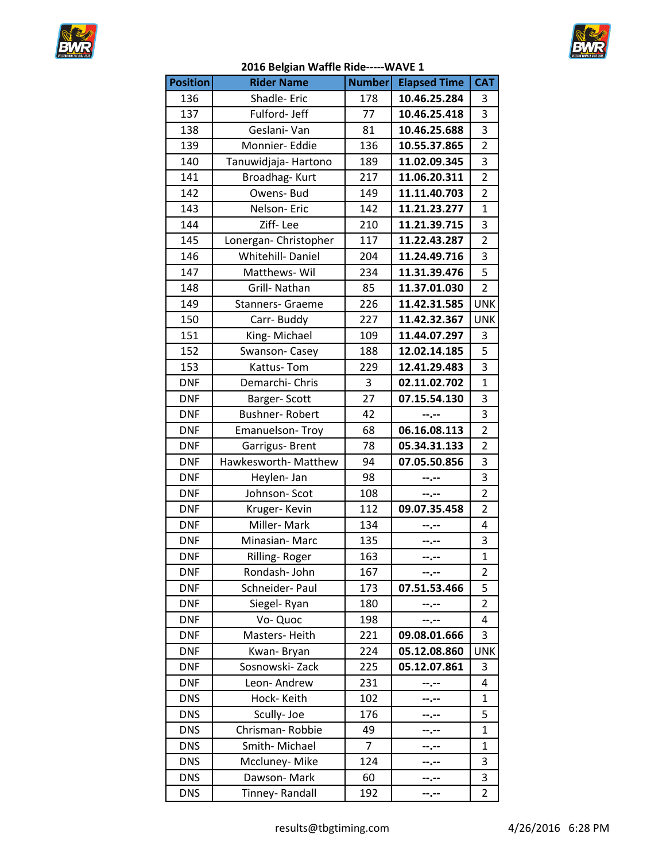



## **2016 Belgian Waffle Ride-----WAVE 1**

| <b>Position</b> | <b>Rider Name</b>       | <b>Number</b>  | <b>Elapsed Time</b> | <b>CAT</b>              |
|-----------------|-------------------------|----------------|---------------------|-------------------------|
| 136             | Shadle-Eric             | 178            | 10.46.25.284        | 3                       |
| 137             | Fulford-Jeff            | 77             | 10.46.25.418        | $\overline{3}$          |
| 138             | Geslani-Van             | 81             | 10.46.25.688        | 3                       |
| 139             | Monnier- Eddie          | 136            | 10.55.37.865        | $\overline{2}$          |
| 140             | Tanuwidjaja- Hartono    | 189            | 11.02.09.345        | 3                       |
| 141             | Broadhag-Kurt           | 217            | 11.06.20.311        | $\overline{2}$          |
| 142             | Owens- Bud              | 149            | 11.11.40.703        | $\overline{2}$          |
| 143             | Nelson-Eric             | 142            | 11.21.23.277        | $\mathbf{1}$            |
| 144             | Ziff-Lee                | 210            | 11.21.39.715        | 3                       |
| 145             | Lonergan- Christopher   | 117            | 11.22.43.287        | $\overline{2}$          |
| 146             | Whitehill-Daniel        | 204            | 11.24.49.716        | 3                       |
| 147             | Matthews-Wil            | 234            | 11.31.39.476        | 5                       |
| 148             | Grill- Nathan           | 85             | 11.37.01.030        | $\overline{2}$          |
| 149             | <b>Stanners- Graeme</b> | 226            | 11.42.31.585        | <b>UNK</b>              |
| 150             | Carr-Buddy              | 227            | 11.42.32.367        | <b>UNK</b>              |
| 151             | King-Michael            | 109            | 11.44.07.297        | 3                       |
| 152             | Swanson-Casey           | 188            | 12.02.14.185        | $\overline{\mathbf{5}}$ |
| 153             | Kattus-Tom              | 229            | 12.41.29.483        | 3                       |
| <b>DNF</b>      | Demarchi- Chris         | 3              | 02.11.02.702        | $\overline{1}$          |
| <b>DNF</b>      | Barger-Scott            | 27             | 07.15.54.130        | 3                       |
| <b>DNF</b>      | Bushner-Robert          | 42             | --.--               | 3                       |
| <b>DNF</b>      | Emanuelson-Troy         | 68             | 06.16.08.113        | $\overline{2}$          |
| <b>DNF</b>      | Garrigus- Brent         | 78             | 05.34.31.133        | $\overline{2}$          |
| <b>DNF</b>      | Hawkesworth- Matthew    | 94             | 07.05.50.856        | 3                       |
| <b>DNF</b>      | Heylen-Jan              | 98             | --.--               | 3                       |
| <b>DNF</b>      | Johnson-Scot            | 108            | --.--               | $\overline{2}$          |
| <b>DNF</b>      | Kruger-Kevin            | 112            | 09.07.35.458        | $\overline{2}$          |
| <b>DNF</b>      | Miller-Mark             | 134            | $-1 - 1 - 1 = 0$    | 4                       |
| <b>DNF</b>      | Minasian-Marc           | 135            | --.--               | 3                       |
| <b>DNF</b>      | Rilling-Roger           | 163            |                     | $\mathbf{1}$            |
| <b>DNF</b>      | Rondash-John            | 167            | --.--               | 2                       |
| <b>DNF</b>      | Schneider- Paul         | 173            | 07.51.53.466        | 5                       |
| <b>DNF</b>      | Siegel-Ryan             | 180            | --.--               | $\overline{2}$          |
| <b>DNF</b>      | Vo-Quoc                 | 198            | --.--               | 4                       |
| <b>DNF</b>      | Masters-Heith           | 221            | 09.08.01.666        | 3                       |
| <b>DNF</b>      | Kwan-Bryan              | 224            | 05.12.08.860        | <b>UNK</b>              |
| <b>DNF</b>      | Sosnowski-Zack          | 225            | 05.12.07.861        | 3                       |
| <b>DNF</b>      | Leon-Andrew             | 231            | $-1 - 1 - 1 = 0$    | 4                       |
| <b>DNS</b>      | Hock-Keith              | 102            | --.--               | 1                       |
| <b>DNS</b>      | Scully-Joe              | 176            | --.--               | 5                       |
| <b>DNS</b>      | Chrisman-Robbie         | 49             | --.--               | $\mathbf 1$             |
| <b>DNS</b>      | Smith-Michael           | $\overline{7}$ | −.−−                | $\mathbf{1}$            |
| <b>DNS</b>      | Mccluney-Mike           | 124            |                     | 3                       |
| <b>DNS</b>      | Dawson-Mark             | 60             | --.--               | 3                       |
| <b>DNS</b>      | Tinney-Randall          | 192            | --.--               | $\overline{2}$          |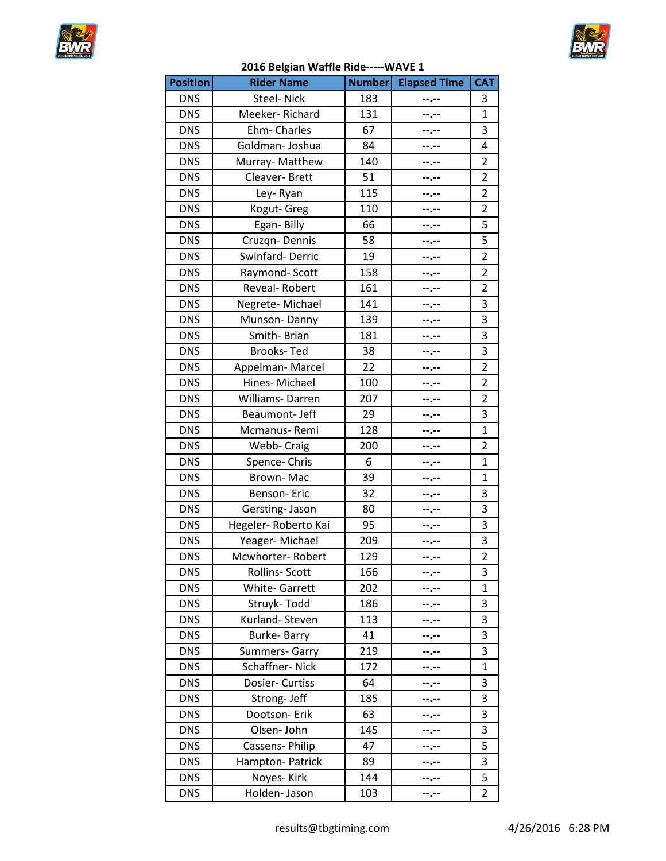



| <b>Position</b> | o.<br><b>Rider Name</b> | <b>Number</b> | <b>Elapsed Time</b> | <b>CAT</b>     |
|-----------------|-------------------------|---------------|---------------------|----------------|
| <b>DNS</b>      | Steel- Nick             | 183           |                     | 3              |
| <b>DNS</b>      | Meeker-Richard          | 131           | --.--<br>--.--      | $\mathbf{1}$   |
| <b>DNS</b>      | Ehm-Charles             | 67            |                     | 3              |
| <b>DNS</b>      | Goldman-Joshua          | 84            |                     | 4              |
| <b>DNS</b>      |                         | 140           | --.--               | 2              |
| <b>DNS</b>      | Murray- Matthew         | 51            | --.--               | $\overline{2}$ |
| <b>DNS</b>      | Cleaver-Brett           | 115           | --.--               | $\overline{2}$ |
| <b>DNS</b>      | Ley-Ryan                | 110           | --.--               | $\overline{2}$ |
| <b>DNS</b>      | Kogut- Greg             | 66            | --.--               | 5              |
|                 | Egan-Billy              |               | --.--               |                |
| <b>DNS</b>      | Cruzqn-Dennis           | 58            | --.--               | 5              |
| <b>DNS</b>      | Swinfard-Derric         | 19            | --.--               | $\overline{2}$ |
| <b>DNS</b>      | Raymond-Scott           | 158           | --.--               | $\overline{2}$ |
| <b>DNS</b>      | Reveal-Robert           | 161           | --.--               | 2              |
| <b>DNS</b>      | Negrete-Michael         | 141           | --.--               | 3              |
| <b>DNS</b>      | Munson-Danny            | 139           | --.--               | 3              |
| <b>DNS</b>      | Smith-Brian             | 181           |                     | 3              |
| <b>DNS</b>      | <b>Brooks-Ted</b>       | 38            | --.--               | 3              |
| <b>DNS</b>      | Appelman-Marcel         | 22            | --.--               | $\overline{2}$ |
| <b>DNS</b>      | Hines-Michael           | 100           | --.--               | $\overline{2}$ |
| <b>DNS</b>      | Williams-Darren         | 207           | --.--               | 2              |
| <b>DNS</b>      | Beaumont- Jeff          | 29            | --.--               | 3              |
| <b>DNS</b>      | Mcmanus-Remi            | 128           |                     | 1              |
| <b>DNS</b>      | Webb- Craig             | 200           | --.--               | $\overline{2}$ |
| <b>DNS</b>      | Spence-Chris            | 6             | --.--               | $\mathbf{1}$   |
| <b>DNS</b>      | Brown-Mac               | 39            | --.--               | $\mathbf{1}$   |
| <b>DNS</b>      | Benson-Eric             | 32            | --.--               | 3              |
| <b>DNS</b>      | Gersting-Jason          | 80            | --.--               | 3              |
| <b>DNS</b>      | Hegeler- Roberto Kai    | 95            | --.--               | 3              |
| <b>DNS</b>      | Yeager-Michael          | 209           | --.--               | 3              |
| <b>DNS</b>      | Mcwhorter-Robert        | 129           | --.--               | $\overline{2}$ |
| <b>DNS</b>      | Rollins-Scott           | 166           | --.--               | 3              |
| <b>DNS</b>      | <b>White-Garrett</b>    | 202           | ┅.╌                 | 1              |
| <b>DNS</b>      | Struyk-Todd             | 186           |                     | 3              |
| <b>DNS</b>      | Kurland-Steven          | 113           |                     | 3              |
| <b>DNS</b>      | Burke-Barry             | 41            |                     | 3              |
| <b>DNS</b>      | <b>Summers- Garry</b>   | 219           | --.--               | 3              |
| <b>DNS</b>      | Schaffner-Nick          | 172           | ┅.╌                 | $\mathbf{1}$   |
| <b>DNS</b>      | Dosier- Curtiss         | 64            | ……                  | 3              |
| <b>DNS</b>      | Strong- Jeff            | 185           |                     | 3              |
| <b>DNS</b>      | Dootson- Erik           | 63            |                     | 3              |
| <b>DNS</b>      | Olsen-John              | 145           |                     | 3              |
| <b>DNS</b>      | Cassens- Philip         | 47            |                     | 5              |
| <b>DNS</b>      | Hampton-Patrick         | 89            |                     | 3              |
| <b>DNS</b>      | Noyes-Kirk              | 144           | --.--               | 5              |
| <b>DNS</b>      | Holden- Jason           | 103           | --.--               | $\overline{2}$ |